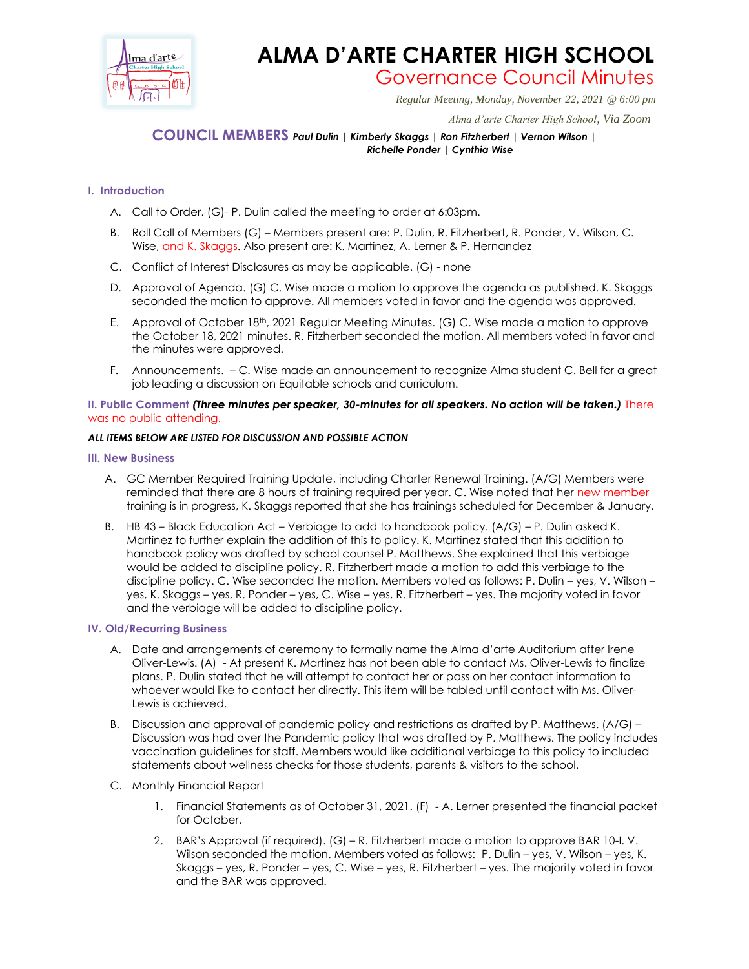

# **ALMA D'ARTE CHARTER HIGH SCHOOL** Governance Council Minutes

*Regular Meeting, Monday, November 22, 2021 @ 6:00 pm*

 *Alma d'arte Charter High School, Via Zoom*

# **COUNCIL MEMBERS** *Paul Dulin | Kimberly Skaggs | Ron Fitzherbert | Vernon Wilson | Richelle Ponder | Cynthia Wise*

## **I. Introduction**

- A. Call to Order. (G)- P. Dulin called the meeting to order at 6:03pm.
- B. Roll Call of Members (G) Members present are: P. Dulin, R. Fitzherbert, R. Ponder, V. Wilson, C. Wise, and K. Skaggs. Also present are: K. Martinez, A. Lerner & P. Hernandez
- C. Conflict of Interest Disclosures as may be applicable. (G) none
- D. Approval of Agenda. (G) C. Wise made a motion to approve the agenda as published. K. Skaggs seconded the motion to approve. All members voted in favor and the agenda was approved.
- E. Approval of October 18th, 2021 Regular Meeting Minutes. (G) C. Wise made a motion to approve the October 18, 2021 minutes. R. Fitzherbert seconded the motion. All members voted in favor and the minutes were approved.
- F. Announcements. C. Wise made an announcement to recognize Alma student C. Bell for a great job leading a discussion on Equitable schools and curriculum.

#### **II. Public Comment** *(Three minutes per speaker, 30-minutes for all speakers. No action will be taken.)* There was no public attending.

#### *ALL ITEMS BELOW ARE LISTED FOR DISCUSSION AND POSSIBLE ACTION*

#### **III. New Business**

- A. GC Member Required Training Update, including Charter Renewal Training. (A/G) Members were reminded that there are 8 hours of training required per year. C. Wise noted that her new member training is in progress, K. Skaggs reported that she has trainings scheduled for December & January.
- B. HB 43 Black Education Act Verbiage to add to handbook policy. (A/G) P. Dulin asked K. Martinez to further explain the addition of this to policy. K. Martinez stated that this addition to handbook policy was drafted by school counsel P. Matthews. She explained that this verbiage would be added to discipline policy. R. Fitzherbert made a motion to add this verbiage to the discipline policy. C. Wise seconded the motion. Members voted as follows: P. Dulin – yes, V. Wilson – yes, K. Skaggs – yes, R. Ponder – yes, C. Wise – yes, R. Fitzherbert – yes. The majority voted in favor and the verbiage will be added to discipline policy.

### **IV. Old/Recurring Business**

- A. Date and arrangements of ceremony to formally name the Alma d'arte Auditorium after Irene Oliver-Lewis. (A) - At present K. Martinez has not been able to contact Ms. Oliver-Lewis to finalize plans. P. Dulin stated that he will attempt to contact her or pass on her contact information to whoever would like to contact her directly. This item will be tabled until contact with Ms. Oliver-Lewis is achieved.
- B. Discussion and approval of pandemic policy and restrictions as drafted by P. Matthews. (A/G) Discussion was had over the Pandemic policy that was drafted by P. Matthews. The policy includes vaccination guidelines for staff. Members would like additional verbiage to this policy to included statements about wellness checks for those students, parents & visitors to the school.
- C. Monthly Financial Report
	- 1. Financial Statements as of October 31, 2021. (F) A. Lerner presented the financial packet for October.
	- 2. BAR's Approval (if required). (G) R. Fitzherbert made a motion to approve BAR 10-I. V. Wilson seconded the motion. Members voted as follows: P. Dulin – yes, V. Wilson – yes, K. Skaggs – yes, R. Ponder – yes, C. Wise – yes, R. Fitzherbert – yes. The majority voted in favor and the BAR was approved.